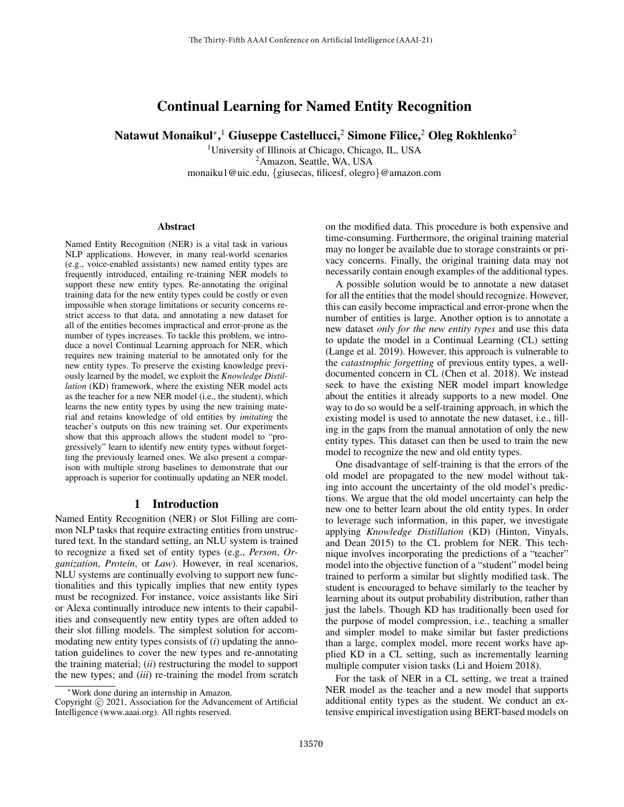# Continual Learning for Named Entity Recognition

Natawut Monaikul\*, Ciuseppe Castellucci, 2Simone Filice, 2Oleg Rokhlenko 2

<sup>1</sup>University of Illinois at Chicago, Chicago, IL, USA <sup>2</sup>Amazon, Seattle, WA, USA monaiku1@uic.edu, {giusecas, filicesf, olegro}@amazon.com

#### Abstract

Named Entity Recognition (NER) is a vital task in various NLP applications. However, in many real-world scenarios (e.g., voice-enabled assistants) new named entity types are frequently introduced, entailing re-training NER models to support these new entity types. Re-annotating the original training data for the new entity types could be costly or even impossible when storage limitations or security concerns restrict access to that data, and annotating a new dataset for all of the entities becomes impractical and error-prone as the number of types increases. To tackle this problem, we introduce a novel Continual Learning approach for NER, which requires new training material to be annotated only for the new entity types. To preserve the existing knowledge previously learned by the model, we exploit the *Knowledge Distillation* (KD) framework, where the existing NER model acts as the teacher for a new NER model (i.e., the student), which learns the new entity types by using the new training material and retains knowledge of old entities by *imitating* the teacher's outputs on this new training set. Our experiments show that this approach allows the student model to "progressively" learn to identify new entity types without forgetting the previously learned ones. We also present a comparison with multiple strong baselines to demonstrate that our approach is superior for continually updating an NER model.

### 1 Introduction

Named Entity Recognition (NER) or Slot Filling are common NLP tasks that require extracting entities from unstructured text. In the standard setting, an NLU system is trained to recognize a fixed set of entity types (e.g., *Person*, *Organization*, *Protein*, or *Law*). However, in real scenarios, NLU systems are continually evolving to support new functionalities and this typically implies that new entity types must be recognized. For instance, voice assistants like Siri or Alexa continually introduce new intents to their capabilities and consequently new entity types are often added to their slot filling models. The simplest solution for accommodating new entity types consists of (*i*) updating the annotation guidelines to cover the new types and re-annotating the training material; (*ii*) restructuring the model to support the new types; and (*iii*) re-training the model from scratch on the modified data. This procedure is both expensive and time-consuming. Furthermore, the original training material may no longer be available due to storage constraints or privacy concerns. Finally, the original training data may not necessarily contain enough examples of the additional types.

A possible solution would be to annotate a new dataset for all the entities that the model should recognize. However, this can easily become impractical and error-prone when the number of entities is large. Another option is to annotate a new dataset *only for the new entity types* and use this data to update the model in a Continual Learning (CL) setting (Lange et al. 2019). However, this approach is vulnerable to the *catastrophic forgetting* of previous entity types, a welldocumented concern in CL (Chen et al. 2018). We instead seek to have the existing NER model impart knowledge about the entities it already supports to a new model. One way to do so would be a self-training approach, in which the existing model is used to annotate the new dataset, i.e., filling in the gaps from the manual annotation of only the new entity types. This dataset can then be used to train the new model to recognize the new and old entity types.

One disadvantage of self-training is that the errors of the old model are propagated to the new model without taking into account the uncertainty of the old model's predictions. We argue that the old model uncertainty can help the new one to better learn about the old entity types. In order to leverage such information, in this paper, we investigate applying *Knowledge Distillation* (KD) (Hinton, Vinyals, and Dean 2015) to the CL problem for NER. This technique involves incorporating the predictions of a "teacher" model into the objective function of a "student" model being trained to perform a similar but slightly modified task. The student is encouraged to behave similarly to the teacher by learning about its output probability distribution, rather than just the labels. Though KD has traditionally been used for the purpose of model compression, i.e., teaching a smaller and simpler model to make similar but faster predictions than a large, complex model, more recent works have applied KD in a CL setting, such as incrementally learning multiple computer vision tasks (Li and Hoiem 2018).

For the task of NER in a CL setting, we treat a trained NER model as the teacher and a new model that supports additional entity types as the student. We conduct an extensive empirical investigation using BERT-based models on

Work done during an internship in Amazon.

Copyright © 2021, Association for the Advancement of Artificial Intelligence (www.aaai.org). All rights reserved.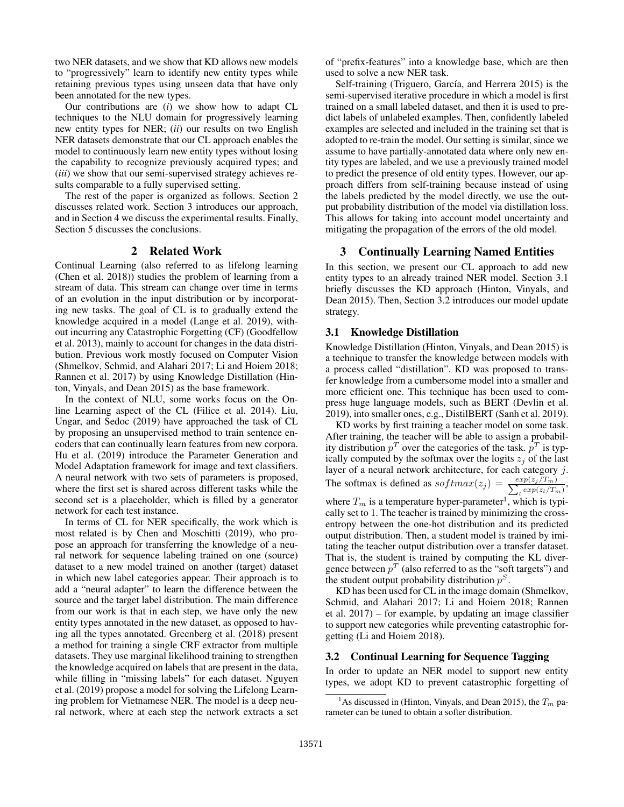two NER datasets, and we show that KD allows new models to "progressively" learn to identify new entity types while retaining previous types using unseen data that have only been annotated for the new types.

Our contributions are (*i*) we show how to adapt CL techniques to the NLU domain for progressively learning new entity types for NER; (*ii*) our results on two English NER datasets demonstrate that our CL approach enables the model to continuously learn new entity types without losing the capability to recognize previously acquired types; and (*iii*) we show that our semi-supervised strategy achieves results comparable to a fully supervised setting.

The rest of the paper is organized as follows. Section 2 discusses related work. Section 3 introduces our approach, and in Section 4 we discuss the experimental results. Finally, Section 5 discusses the conclusions.

### 2 Related Work

Continual Learning (also referred to as lifelong learning (Chen et al. 2018)) studies the problem of learning from a stream of data. This stream can change over time in terms of an evolution in the input distribution or by incorporating new tasks. The goal of CL is to gradually extend the knowledge acquired in a model (Lange et al. 2019), without incurring any Catastrophic Forgetting (CF) (Goodfellow et al. 2013), mainly to account for changes in the data distribution. Previous work mostly focused on Computer Vision (Shmelkov, Schmid, and Alahari 2017; Li and Hoiem 2018; Rannen et al. 2017) by using Knowledge Distillation (Hinton, Vinyals, and Dean 2015) as the base framework.

In the context of NLU, some works focus on the Online Learning aspect of the CL (Filice et al. 2014). Liu, Ungar, and Sedoc (2019) have approached the task of CL by proposing an unsupervised method to train sentence encoders that can continually learn features from new corpora. Hu et al. (2019) introduce the Parameter Generation and Model Adaptation framework for image and text classifiers. A neural network with two sets of parameters is proposed, where the first set is shared across different tasks while the second set is a placeholder, which is filled by a generator network for each test instance.

In terms of CL for NER specifically, the work which is most related is by Chen and Moschitti (2019), who propose an approach for transferring the knowledge of a neural network for sequence labeling trained on one (source) dataset to a new model trained on another (target) dataset in which new label categories appear. Their approach is to add a "neural adapter" to learn the difference between the source and the target label distribution. The main difference from our work is that in each step, we have only the new entity types annotated in the new dataset, as opposed to having all the types annotated. Greenberg et al. (2018) present a method for training a single CRF extractor from multiple datasets. They use marginal likelihood training to strengthen the knowledge acquired on labels that are present in the data, while filling in "missing labels" for each dataset. Nguyen et al. (2019) propose a model for solving the Lifelong Learning problem for Vietnamese NER. The model is a deep neural network, where at each step the network extracts a set

of "prefix-features" into a knowledge base, which are then used to solve a new NER task.

Self-training (Triguero, García, and Herrera 2015) is the semi-supervised iterative procedure in which a model is first trained on a small labeled dataset, and then it is used to predict labels of unlabeled examples. Then, confidently labeled examples are selected and included in the training set that is adopted to re-train the model. Our setting is similar, since we assume to have partially-annotated data where only new entity types are labeled, and we use a previously trained model to predict the presence of old entity types. However, our approach differs from self-training because instead of using the labels predicted by the model directly, we use the output probability distribution of the model via distillation loss. This allows for taking into account model uncertainty and mitigating the propagation of the errors of the old model.

#### 3 Continually Learning Named Entities

In this section, we present our CL approach to add new entity types to an already trained NER model. Section 3.1 briefly discusses the KD approach (Hinton, Vinyals, and Dean 2015). Then, Section 3.2 introduces our model update strategy.

#### 3.1 Knowledge Distillation

Knowledge Distillation (Hinton, Vinyals, and Dean 2015) is a technique to transfer the knowledge between models with a process called "distillation". KD was proposed to transfer knowledge from a cumbersome model into a smaller and more efficient one. This technique has been used to compress huge language models, such as BERT (Devlin et al. 2019), into smaller ones, e.g., DistilBERT (Sanh et al. 2019).

KD works by first training a teacher model on some task. After training, the teacher will be able to assign a probability distribution  $p<sup>T</sup>$  over the categories of the task.  $p<sup>T</sup>$  is typically computed by the softmax over the logits  $z_i$  of the last layer of a neural network architecture, for each category j. The softmax is defined as  $softmax(z_j) = \frac{exp(z_j / T_m)}{\sum_l exp(z_l / T_m)},$ 

where  $T_m$  is a temperature hyper-parameter<sup>1</sup>, which is typically set to 1. The teacher is trained by minimizing the crossentropy between the one-hot distribution and its predicted output distribution. Then, a student model is trained by imitating the teacher output distribution over a transfer dataset. That is, the student is trained by computing the KL divergence between  $p<sup>T</sup>$  (also referred to as the "soft targets") and the student output probability distribution  $p^S$ .

KD has been used for CL in the image domain (Shmelkov, Schmid, and Alahari 2017; Li and Hoiem 2018; Rannen et al. 2017) – for example, by updating an image classifier to support new categories while preventing catastrophic forgetting (Li and Hoiem 2018).

#### 3.2 Continual Learning for Sequence Tagging

In order to update an NER model to support new entity types, we adopt KD to prevent catastrophic forgetting of

<sup>&</sup>lt;sup>1</sup>As discussed in (Hinton, Vinyals, and Dean 2015), the  $T_m$  parameter can be tuned to obtain a softer distribution.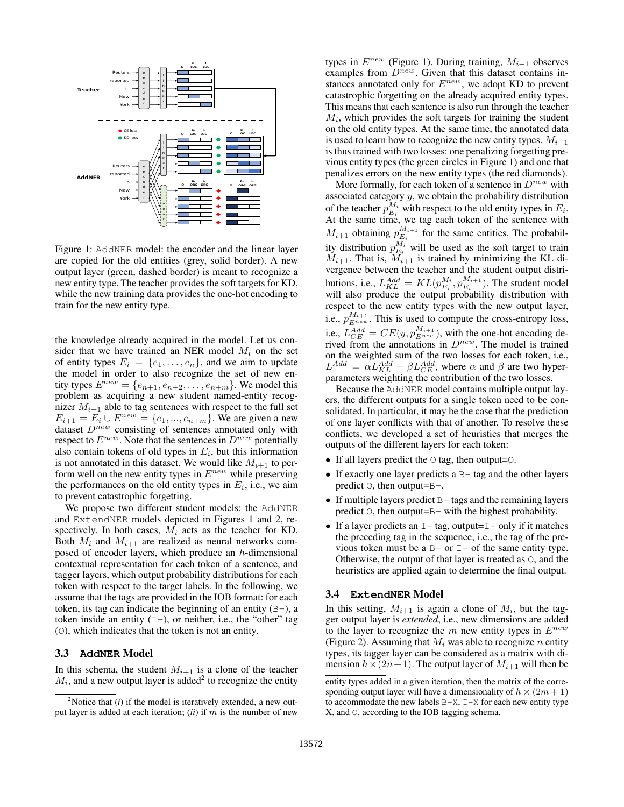

Figure 1: AddNER model: the encoder and the linear layer are copied for the old entities (grey, solid border). A new output layer (green, dashed border) is meant to recognize a new entity type. The teacher provides the soft targets for KD, while the new training data provides the one-hot encoding to train for the new entity type.

the knowledge already acquired in the model. Let us consider that we have trained an NER model  $M_i$  on the set of entity types  $E_i = \{e_1, \ldots, e_n\}$ , and we aim to update the model in order to also recognize the set of new entity types  $E^{new} = \{e_{n+1}, e_{n+2}, \ldots, e_{n+m}\}$ . We model this problem as acquiring a new student named-entity recognizer  $M_{i+1}$  able to tag sentences with respect to the full set  $E_{i+1} = E_i \cup E^{new} = \{e_1, ..., e_{n+m}\}.$  We are given a new dataset  $D^{new}$  consisting of sentences annotated only with respect to  $E^{new}$ . Note that the sentences in  $D^{new}$  potentially also contain tokens of old types in  $E_i$ , but this information is not annotated in this dataset. We would like  $M_{i+1}$  to perform well on the new entity types in  $E^{new}$  while preserving the performances on the old entity types in  $E_i$ , i.e., we aim to prevent catastrophic forgetting.

We propose two different student models: the AddNER and ExtendNER models depicted in Figures 1 and 2, respectively. In both cases,  $M_i$  acts as the teacher for KD. Both  $M_i$  and  $M_{i+1}$  are realized as neural networks composed of encoder layers, which produce an h-dimensional contextual representation for each token of a sentence, and tagger layers, which output probability distributions for each token with respect to the target labels. In the following, we assume that the tags are provided in the IOB format: for each token, its tag can indicate the beginning of an entity  $(B-)$ , a token inside an entity  $(I-)$ , or neither, i.e., the "other" tag (O), which indicates that the token is not an entity.

#### 3.3 **AddNER** Model

In this schema, the student  $M_{i+1}$  is a clone of the teacher  $M_i$ , and a new output layer is added<sup>2</sup> to recognize the entity

types in  $E^{new}$  (Figure 1). During training,  $M_{i+1}$  observes examples from  $D^{new}$ . Given that this dataset contains instances annotated only for  $E^{new}$ , we adopt KD to prevent catastrophic forgetting on the already acquired entity types. This means that each sentence is also run through the teacher  $M_i$ , which provides the soft targets for training the student on the old entity types. At the same time, the annotated data is used to learn how to recognize the new entity types.  $M_{i+1}$ is thus trained with two losses: one penalizing forgetting previous entity types (the green circles in Figure 1) and one that penalizes errors on the new entity types (the red diamonds).

More formally, for each token of a sentence in  $D^{new}$  with associated category  $y$ , we obtain the probability distribution of the teacher  $p_{E_i}^{M_i}$  with respect to the old entity types in  $E_i$ . At the same time, we tag each token of the sentence with  $M_{i+1}$  obtaining  $p_{E_i}^{M_{i+1}}$  $E_i^{M_i+1}$  for the same entities. The probability distribution  $p_{E_i}^{M_i}$  will be used as the soft target to train  $M_{i+1}$ . That is,  $M_{i+1}$  is trained by minimizing the KL divergence between the teacher and the student output distributions, i.e.,  $L_{KL}^{Add} = KL(p_{E_i}^{M_i}, p_{E_i}^{M_{i+1}})$  $E_i^{M_{i+1}}$ ). The student model will also produce the output probability distribution with respect to the new entity types with the new output layer, i.e.,  $p_{E^{new}}^{M_{i+1}}$ . This is used to compute the cross-entropy loss, i.e.,  $L_{CE}^{Add} = CE(y, p_{E^{new}}^{M_{i+1}})$ , with the one-hot encoding derived from the annotations in  $D^{new}$ . The model is trained on the weighted sum of the two losses for each token, i.e.,  $L^{Add} = \alpha L_{KL}^{Add} + \beta L_{CE}^{Add}$ , where  $\alpha$  and  $\beta$  are two hyperparameters weighting the contribution of the two losses.

Because the AddNER model contains multiple output layers, the different outputs for a single token need to be consolidated. In particular, it may be the case that the prediction of one layer conflicts with that of another. To resolve these conflicts, we developed a set of heuristics that merges the outputs of the different layers for each token:

- If all layers predict the  $\circ$  tag, then output= $\circ$ .
- If exactly one layer predicts a  $B$  tag and the other layers predict O, then output=B-.
- If multiple layers predict  $B$  tags and the remaining layers predict  $\circ$ , then output=B- with the highest probability.
- If a layer predicts an  $I$  tag, output= $I$  only if it matches the preceding tag in the sequence, i.e., the tag of the previous token must be a  $B-$  or  $I-$  of the same entity type. Otherwise, the output of that layer is treated as O, and the heuristics are applied again to determine the final output.

#### 3.4 **ExtendNER** Model

In this setting,  $M_{i+1}$  is again a clone of  $M_i$ , but the tagger output layer is *extended*, i.e., new dimensions are added to the layer to recognize the  $m$  new entity types in  $E^{new}$ (Figure 2). Assuming that  $M_i$  was able to recognize n entity types, its tagger layer can be considered as a matrix with dimension  $h \times (2n+1)$ . The output layer of  $M_{i+1}$  will then be

<sup>&</sup>lt;sup>2</sup>Notice that (*i*) if the model is iteratively extended, a new output layer is added at each iteration;  $(ii)$  if m is the number of new

entity types added in a given iteration, then the matrix of the corresponding output layer will have a dimensionality of  $h \times (2m + 1)$ to accommodate the new labels  $B-X$ ,  $I-X$  for each new entity type X, and O, according to the IOB tagging schema.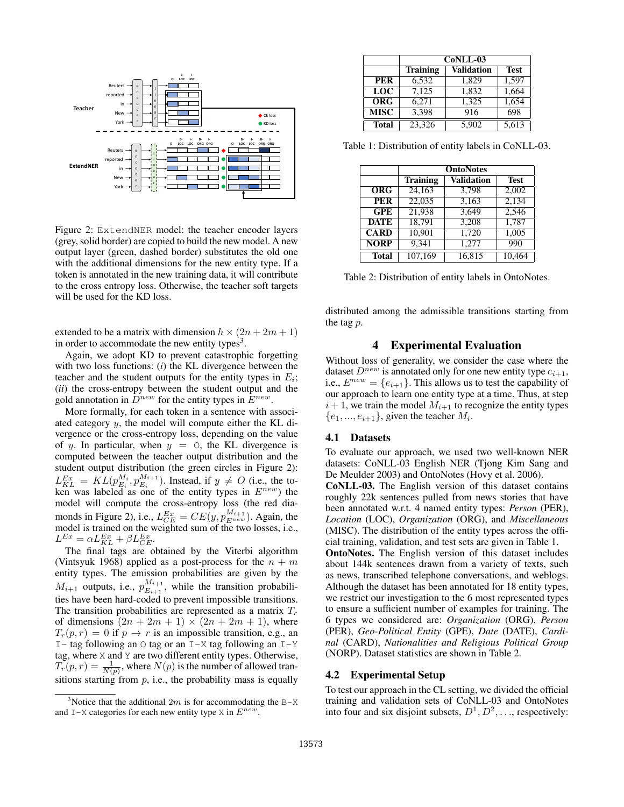

Figure 2: ExtendNER model: the teacher encoder layers (grey, solid border) are copied to build the new model. A new output layer (green, dashed border) substitutes the old one with the additional dimensions for the new entity type. If a token is annotated in the new training data, it will contribute to the cross entropy loss. Otherwise, the teacher soft targets will be used for the KD loss.

extended to be a matrix with dimension  $h \times (2n + 2m + 1)$ in order to accommodate the new entity types<sup>3</sup>.

Again, we adopt KD to prevent catastrophic forgetting with two loss functions: (*i*) the KL divergence between the teacher and the student outputs for the entity types in  $E_i$ ; (*ii*) the cross-entropy between the student output and the gold annotation in  $\tilde{D}^{new}$  for the entity types in  $E^{new}$ .

More formally, for each token in a sentence with associated category y, the model will compute either the KL divergence or the cross-entropy loss, depending on the value of y. In particular, when  $y = 0$ , the KL divergence is computed between the teacher output distribution and the student output distribution (the green circles in Figure 2):  $L_{KL}^{Ex} = KL(p_{E_i}^{M_i}, p_{E_i}^{M_{i+1}})$  $E_i^{M_{i+1}}$ ). Instead, if  $y \neq O$  (i.e., the token was labeled as one of the entity types in  $E^{new}$ ) the model will compute the cross-entropy loss (the red diamonds in Figure 2), i.e.,  $L_{CE}^{Ex} = CE(y, p_{E^{new}}^{M_{i+1}})$ . Again, the model is trained on the weighted sum of the two losses, i.e.,  $L^{Ex} = \alpha L_{KL}^{Ex} + \beta L_{CE}^{Ex}.$ 

The final tags are obtained by the Viterbi algorithm (Vintsyuk 1968) applied as a post-process for the  $n + m$ entity types. The emission probabilities are given by the  $M_{i+1}$  outputs, i.e.,  $p_{E_{i+1}}^{M_{i+1}}$  $E_{i+1}^{M_{i+1}}$ , while the transition probabilities have been hard-coded to prevent impossible transitions. The transition probabilities are represented as a matrix  $T_r$ of dimensions  $(2n + 2m + 1) \times (2n + 2m + 1)$ , where  $T_r(p,r) = 0$  if  $p \to r$  is an impossible transition, e.g., an I- tag following an  $\circ$  tag or an I-X tag following an I-Y tag, where X and Y are two different entity types. Otherwise,  $T_r(p,r) = \frac{1}{N(p)}$ , where  $N(p)$  is the number of allowed transitions starting from  $p$ , i.e., the probability mass is equally

|                      | CoNLL-03        |                   |             |
|----------------------|-----------------|-------------------|-------------|
|                      | <b>Training</b> | <b>Validation</b> | <b>Test</b> |
| <b>PER</b>           | 6,532           | 1.829             | 1,597       |
| LOC                  | 7,125           | 1,832             | 1,664       |
| $\overline{\rm ORG}$ | 6,271           | 1,325             | 1,654       |
| <b>MISC</b>          | 3,398           | 916               | 698         |
| <b>Total</b>         | 23.326          | 5,902             | 5,613       |

Table 1: Distribution of entity labels in CoNLL-03.

|              | <b>OntoNotes</b> |                   |             |
|--------------|------------------|-------------------|-------------|
|              | <b>Training</b>  | <b>Validation</b> | <b>Test</b> |
| <b>ORG</b>   | 24,163           | 3.798             | 2.002       |
| <b>PER</b>   | 22,035           | 3,163             | 2,134       |
| GPE          | 21.938           | 3.649             | 2.546       |
| <b>DATE</b>  | 18.791           | 3,208             | 1,787       |
| <b>CARD</b>  | 10.901           | 1,720             | 1,005       |
| <b>NORP</b>  | 9.341            | 1,277             | 990         |
| <b>Total</b> | 107.169          | 16.815            | 10.464      |

Table 2: Distribution of entity labels in OntoNotes.

distributed among the admissible transitions starting from the tag p.

### 4 Experimental Evaluation

Without loss of generality, we consider the case where the dataset  $D^{new}$  is annotated only for one new entity type  $e_{i+1}$ , i.e.,  $E^{new} = \{e_{i+1}\}\$ . This allows us to test the capability of our approach to learn one entity type at a time. Thus, at step  $i + 1$ , we train the model  $M_{i+1}$  to recognize the entity types  $\{e_1, ..., e_{i+1}\}\$ , given the teacher  $M_i$ .

#### 4.1 Datasets

To evaluate our approach, we used two well-known NER datasets: CoNLL-03 English NER (Tjong Kim Sang and De Meulder 2003) and OntoNotes (Hovy et al. 2006).

CoNLL-03. The English version of this dataset contains roughly 22k sentences pulled from news stories that have been annotated w.r.t. 4 named entity types: *Person* (PER), *Location* (LOC), *Organization* (ORG), and *Miscellaneous* (MISC). The distribution of the entity types across the official training, validation, and test sets are given in Table 1.

OntoNotes. The English version of this dataset includes about 144k sentences drawn from a variety of texts, such as news, transcribed telephone conversations, and weblogs. Although the dataset has been annotated for 18 entity types, we restrict our investigation to the 6 most represented types to ensure a sufficient number of examples for training. The 6 types we considered are: *Organization* (ORG), *Person* (PER), *Geo-Political Entity* (GPE), *Date* (DATE), *Cardinal* (CARD), *Nationalities and Religious Political Group* (NORP). Dataset statistics are shown in Table 2.

#### 4.2 Experimental Setup

To test our approach in the CL setting, we divided the official training and validation sets of CoNLL-03 and OntoNotes into four and six disjoint subsets,  $D^1, D^2, \ldots$ , respectively:

<sup>&</sup>lt;sup>3</sup>Notice that the additional 2m is for accommodating the B-X and  $I-X$  categories for each new entity type X in  $E^{new}$ .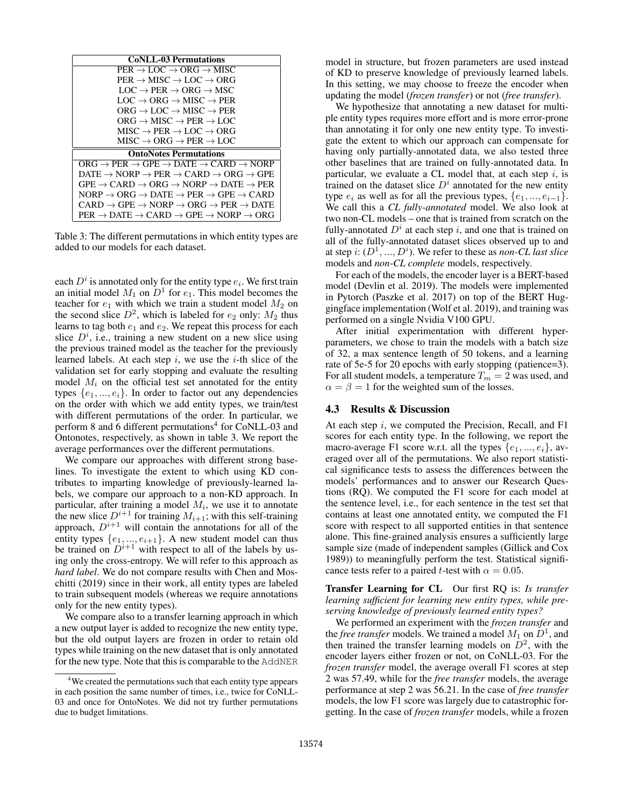| <b>CoNLL-03 Permutations</b>                                                                                                       |  |  |  |
|------------------------------------------------------------------------------------------------------------------------------------|--|--|--|
| $PER \rightarrow LOC \rightarrow ORG \rightarrow MISC$                                                                             |  |  |  |
| $PER \rightarrow MISC \rightarrow LOC \rightarrow ORG$                                                                             |  |  |  |
| $LOC \rightarrow PER \rightarrow ORG \rightarrow MSC$                                                                              |  |  |  |
| $LOC \rightarrow ORG \rightarrow MISC \rightarrow PER$                                                                             |  |  |  |
| $ORG \rightarrow LOC \rightarrow MISC \rightarrow PER$                                                                             |  |  |  |
| $ORG \rightarrow MISC \rightarrow PER \rightarrow LOC$                                                                             |  |  |  |
| $MISC \rightarrow PER \rightarrow LOC \rightarrow ORG$                                                                             |  |  |  |
| $MISC \rightarrow ORG \rightarrow PER \rightarrow LOC$                                                                             |  |  |  |
| <b>OntoNotes Permutations</b>                                                                                                      |  |  |  |
| $ORG \rightarrow PER \rightarrow GPE \rightarrow DATE \rightarrow CARD \rightarrow NORP$                                           |  |  |  |
| $\text{DATE} \rightarrow \text{NORP} \rightarrow \text{PER} \rightarrow \text{CARD} \rightarrow \text{ORG} \rightarrow \text{GPE}$ |  |  |  |
| $GPE \rightarrow CARD \rightarrow ORG \rightarrow NORP \rightarrow DATE \rightarrow PER$                                           |  |  |  |
| $NORP \rightarrow ORG \rightarrow DATE \rightarrow PER \rightarrow GPE \rightarrow CARD$                                           |  |  |  |
| $CARD \rightarrow GPE \rightarrow NORP \rightarrow ORG \rightarrow PER \rightarrow DATE$                                           |  |  |  |
| $PER \rightarrow$ DATE $\rightarrow$ CARD $\rightarrow$ GPE $\rightarrow$ NORP $\rightarrow$ ORG                                   |  |  |  |

Table 3: The different permutations in which entity types are added to our models for each dataset.

each  $D^i$  is annotated only for the entity type  $e_i$ . We first train an initial model  $M_1$  on  $D^1$  for  $e_1$ . This model becomes the teacher for  $e_1$  with which we train a student model  $M_2$  on the second slice  $D^2$ , which is labeled for  $e_2$  only:  $M_2$  thus learns to tag both  $e_1$  and  $e_2$ . We repeat this process for each slice  $D<sup>i</sup>$ , i.e., training a new student on a new slice using the previous trained model as the teacher for the previously learned labels. At each step  $i$ , we use the  $i$ -th slice of the validation set for early stopping and evaluate the resulting model  $M_i$  on the official test set annotated for the entity types  $\{e_1, ..., e_i\}$ . In order to factor out any dependencies on the order with which we add entity types, we train/test with different permutations of the order. In particular, we perform 8 and 6 different permutations<sup>4</sup> for CoNLL-03 and Ontonotes, respectively, as shown in table 3. We report the average performances over the different permutations.

We compare our approaches with different strong baselines. To investigate the extent to which using KD contributes to imparting knowledge of previously-learned labels, we compare our approach to a non-KD approach. In particular, after training a model  $M_i$ , we use it to annotate the new slice  $D^{i+1}$  for training  $M_{i+1}$ ; with this self-training approach,  $D^{i+1}$  will contain the annotations for all of the entity types  $\{e_1, ..., e_{i+1}\}$ . A new student model can thus be trained on  $D^{i+1}$  with respect to all of the labels by using only the cross-entropy. We will refer to this approach as *hard label*. We do not compare results with Chen and Moschitti (2019) since in their work, all entity types are labeled to train subsequent models (whereas we require annotations only for the new entity types).

We compare also to a transfer learning approach in which a new output layer is added to recognize the new entity type, but the old output layers are frozen in order to retain old types while training on the new dataset that is only annotated for the new type. Note that this is comparable to the AddNER

model in structure, but frozen parameters are used instead of KD to preserve knowledge of previously learned labels. In this setting, we may choose to freeze the encoder when updating the model (*frozen transfer*) or not (*free transfer*).

We hypothesize that annotating a new dataset for multiple entity types requires more effort and is more error-prone than annotating it for only one new entity type. To investigate the extent to which our approach can compensate for having only partially-annotated data, we also tested three other baselines that are trained on fully-annotated data. In particular, we evaluate a CL model that, at each step  $i$ , is trained on the dataset slice  $D^i$  annotated for the new entity type  $e_i$  as well as for all the previous types,  $\{e_1, ..., e_{i-1}\}.$ We call this a *CL fully-annotated* model. We also look at two non-CL models – one that is trained from scratch on the fully-annotated  $D^i$  at each step i, and one that is trained on all of the fully-annotated dataset slices observed up to and at step  $i: (D^1, ..., D^i)$ . We refer to these as *non-CL last slice* models and *non-CL complete* models, respectively.

For each of the models, the encoder layer is a BERT-based model (Devlin et al. 2019). The models were implemented in Pytorch (Paszke et al. 2017) on top of the BERT Huggingface implementation (Wolf et al. 2019), and training was performed on a single Nvidia V100 GPU.

After initial experimentation with different hyperparameters, we chose to train the models with a batch size of 32, a max sentence length of 50 tokens, and a learning rate of 5e-5 for 20 epochs with early stopping (patience=3). For all student models, a temperature  $T_m = 2$  was used, and  $\alpha = \beta = 1$  for the weighted sum of the losses.

### 4.3 Results & Discussion

At each step  $i$ , we computed the Precision, Recall, and F1 scores for each entity type. In the following, we report the macro-average F1 score w.r.t. all the types  $\{e_1, ..., e_i\}$ , averaged over all of the permutations. We also report statistical significance tests to assess the differences between the models' performances and to answer our Research Questions (RQ). We computed the F1 score for each model at the sentence level, i.e., for each sentence in the test set that contains at least one annotated entity, we computed the F1 score with respect to all supported entities in that sentence alone. This fine-grained analysis ensures a sufficiently large sample size (made of independent samples (Gillick and Cox 1989)) to meaningfully perform the test. Statistical significance tests refer to a paired t-test with  $\alpha = 0.05$ .

Transfer Learning for CL Our first RQ is: *Is transfer learning sufficient for learning new entity types, while preserving knowledge of previously learned entity types?*

We performed an experiment with the *frozen transfer* and the *free transfer* models. We trained a model  $M_1$  on  $D^1$ , and then trained the transfer learning models on  $D^2$ , with the encoder layers either frozen or not, on CoNLL-03. For the *frozen transfer* model, the average overall F1 scores at step 2 was 57.49, while for the *free transfer* models, the average performance at step 2 was 56.21. In the case of *free transfer* models, the low F1 score was largely due to catastrophic forgetting. In the case of *frozen transfer* models, while a frozen

<sup>&</sup>lt;sup>4</sup>We created the permutations such that each entity type appears in each position the same number of times, i.e., twice for CoNLL-03 and once for OntoNotes. We did not try further permutations due to budget limitations.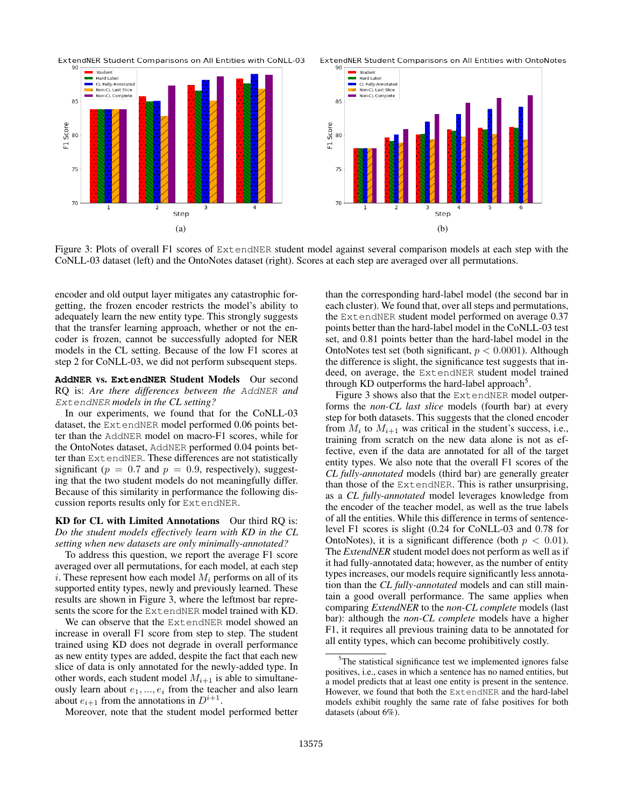

Student

≂

85

80

75

 $70$ 

F1 Score



Figure 3: Plots of overall F1 scores of ExtendNER student model against several comparison models at each step with the CoNLL-03 dataset (left) and the OntoNotes dataset (right). Scores at each step are averaged over all permutations.

encoder and old output layer mitigates any catastrophic forgetting, the frozen encoder restricts the model's ability to adequately learn the new entity type. This strongly suggests that the transfer learning approach, whether or not the encoder is frozen, cannot be successfully adopted for NER models in the CL setting. Because of the low F1 scores at step 2 for CoNLL-03, we did not perform subsequent steps.

#### **AddNER** vs. **ExtendNER** Student Models Our second RQ is: *Are there differences between the* AddNER *and* ExtendNER *models in the CL setting?*

In our experiments, we found that for the CoNLL-03 dataset, the ExtendNER model performed 0.06 points better than the AddNER model on macro-F1 scores, while for the OntoNotes dataset, AddNER performed 0.04 points better than ExtendNER. These differences are not statistically significant ( $p = 0.7$  and  $p = 0.9$ , respectively), suggesting that the two student models do not meaningfully differ. Because of this similarity in performance the following discussion reports results only for ExtendNER.

#### KD for CL with Limited Annotations Our third RQ is: *Do the student models effectively learn with KD in the CL setting when new datasets are only minimally-annotated?*

To address this question, we report the average F1 score averaged over all permutations, for each model, at each step i. These represent how each model  $M_i$  performs on all of its supported entity types, newly and previously learned. These results are shown in Figure 3, where the leftmost bar represents the score for the ExtendNER model trained with KD.

We can observe that the ExtendNER model showed an increase in overall F1 score from step to step. The student trained using KD does not degrade in overall performance as new entity types are added, despite the fact that each new slice of data is only annotated for the newly-added type. In other words, each student model  $M_{i+1}$  is able to simultaneously learn about  $e_1, ..., e_i$  from the teacher and also learn about  $e_{i+1}$  from the annotations in  $D^{i+1}$ .

Moreover, note that the student model performed better

than the corresponding hard-label model (the second bar in each cluster). We found that, over all steps and permutations, the ExtendNER student model performed on average 0.37 points better than the hard-label model in the CoNLL-03 test set, and 0.81 points better than the hard-label model in the OntoNotes test set (both significant,  $p < 0.0001$ ). Although the difference is slight, the significance test suggests that indeed, on average, the ExtendNER student model trained through KD outperforms the hard-label approach<sup>5</sup>.

Figure 3 shows also that the ExtendNER model outperforms the *non-CL last slice* models (fourth bar) at every step for both datasets. This suggests that the cloned encoder from  $M_i$  to  $M_{i+1}$  was critical in the student's success, i.e., training from scratch on the new data alone is not as effective, even if the data are annotated for all of the target entity types. We also note that the overall F1 scores of the *CL fully-annotated* models (third bar) are generally greater than those of the ExtendNER. This is rather unsurprising, as a *CL fully-annotated* model leverages knowledge from the encoder of the teacher model, as well as the true labels of all the entities. While this difference in terms of sentencelevel F1 scores is slight (0.24 for CoNLL-03 and 0.78 for OntoNotes), it is a significant difference (both  $p < 0.01$ ). The *ExtendNER* student model does not perform as well as if it had fully-annotated data; however, as the number of entity types increases, our models require significantly less annotation than the *CL fully-annotated* models and can still maintain a good overall performance. The same applies when comparing *ExtendNER* to the *non-CL complete* models (last bar): although the *non-CL complete* models have a higher F1, it requires all previous training data to be annotated for all entity types, which can become prohibitively costly.

 $5$ The statistical significance test we implemented ignores false positives, i.e., cases in which a sentence has no named entities, but a model predicts that at least one entity is present in the sentence. However, we found that both the ExtendNER and the hard-label models exhibit roughly the same rate of false positives for both datasets (about 6%).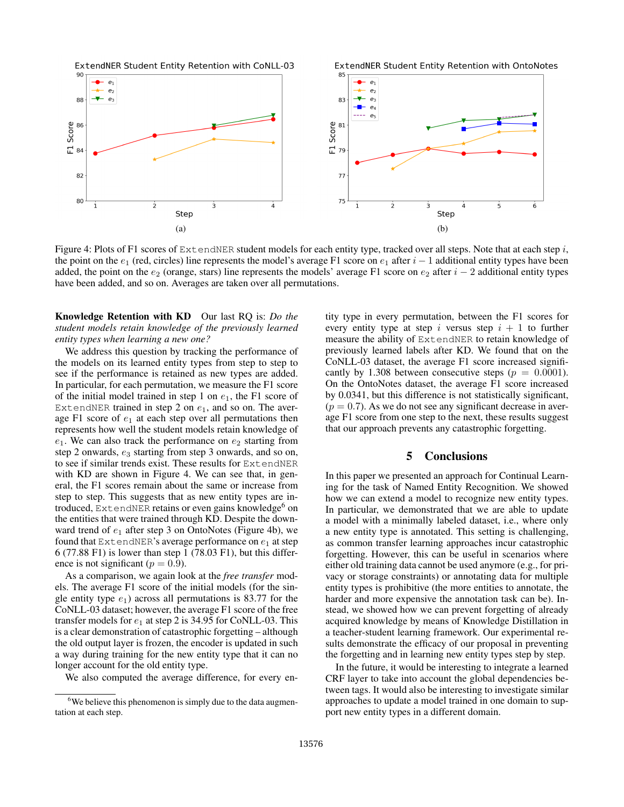

Figure 4: Plots of F1 scores of ExtendNER student models for each entity type, tracked over all steps. Note that at each step i, the point on the  $e_1$  (red, circles) line represents the model's average F1 score on  $e_1$  after  $i - 1$  additional entity types have been added, the point on the  $e_2$  (orange, stars) line represents the models' average F1 score on  $e_2$  after  $i - 2$  additional entity types have been added, and so on. Averages are taken over all permutations.

Knowledge Retention with KD Our last RQ is: *Do the student models retain knowledge of the previously learned entity types when learning a new one?*

We address this question by tracking the performance of the models on its learned entity types from step to step to see if the performance is retained as new types are added. In particular, for each permutation, we measure the F1 score of the initial model trained in step 1 on  $e_1$ , the F1 score of ExtendNER trained in step 2 on  $e_1$ , and so on. The average F1 score of  $e_1$  at each step over all permutations then represents how well the student models retain knowledge of  $e_1$ . We can also track the performance on  $e_2$  starting from step 2 onwards,  $e_3$  starting from step 3 onwards, and so on, to see if similar trends exist. These results for ExtendNER with KD are shown in Figure 4. We can see that, in general, the F1 scores remain about the same or increase from step to step. This suggests that as new entity types are introduced, ExtendNER retains or even gains knowledge<sup>6</sup> on the entities that were trained through KD. Despite the downward trend of  $e_1$  after step 3 on OntoNotes (Figure 4b), we found that ExtendNER's average performance on  $e_1$  at step 6 (77.88 F1) is lower than step 1 (78.03 F1), but this difference is not significant ( $p = 0.9$ ).

As a comparison, we again look at the *free transfer* models. The average F1 score of the initial models (for the single entity type  $e_1$ ) across all permutations is 83.77 for the CoNLL-03 dataset; however, the average F1 score of the free transfer models for  $e_1$  at step 2 is 34.95 for CoNLL-03. This is a clear demonstration of catastrophic forgetting – although the old output layer is frozen, the encoder is updated in such a way during training for the new entity type that it can no longer account for the old entity type.

We also computed the average difference, for every en-

tity type in every permutation, between the F1 scores for every entity type at step i versus step  $i + 1$  to further measure the ability of ExtendNER to retain knowledge of previously learned labels after KD. We found that on the CoNLL-03 dataset, the average F1 score increased significantly by 1.308 between consecutive steps ( $p = 0.0001$ ). On the OntoNotes dataset, the average F1 score increased by 0.0341, but this difference is not statistically significant,  $(p = 0.7)$ . As we do not see any significant decrease in average F1 score from one step to the next, these results suggest that our approach prevents any catastrophic forgetting.

## 5 Conclusions

In this paper we presented an approach for Continual Learning for the task of Named Entity Recognition. We showed how we can extend a model to recognize new entity types. In particular, we demonstrated that we are able to update a model with a minimally labeled dataset, i.e., where only a new entity type is annotated. This setting is challenging, as common transfer learning approaches incur catastrophic forgetting. However, this can be useful in scenarios where either old training data cannot be used anymore (e.g., for privacy or storage constraints) or annotating data for multiple entity types is prohibitive (the more entities to annotate, the harder and more expensive the annotation task can be). Instead, we showed how we can prevent forgetting of already acquired knowledge by means of Knowledge Distillation in a teacher-student learning framework. Our experimental results demonstrate the efficacy of our proposal in preventing the forgetting and in learning new entity types step by step.

In the future, it would be interesting to integrate a learned CRF layer to take into account the global dependencies between tags. It would also be interesting to investigate similar approaches to update a model trained in one domain to support new entity types in a different domain.

<sup>&</sup>lt;sup>6</sup>We believe this phenomenon is simply due to the data augmentation at each step.